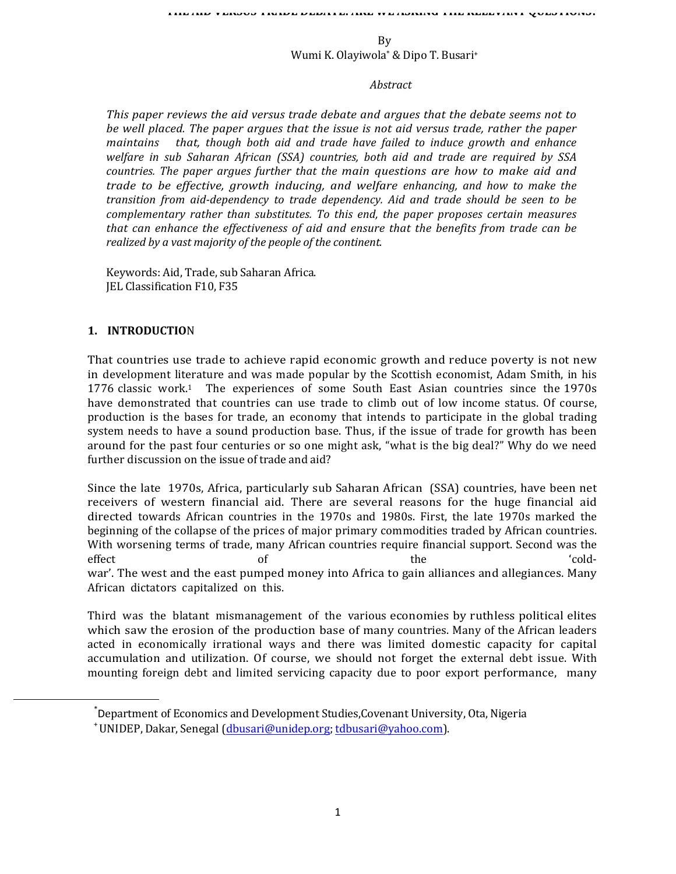By Wumi K. Olayiwola<sup>\*</sup> & Dipo T. Busari<sup>+</sup>

#### *Abstract*

This paper reviews the aid versus trade debate and argues that the debate seems not to be well placed. The paper argues that the *issue* is not aid versus trade, rather the paper *maintains* that, though both aid and trade have failed to induce growth and enhance welfare in sub Saharan African (SSA) countries, both aid and trade are required by SSA *countries.* The paper argues further that the main questions are how to make aid and *trade* to be effective, growth inducing, and welfare enhancing, and how to make the *transition from aid-dependency to trade dependency. Aid and trade should be seen to be complementary rather than substitutes. To this end, the paper proposes certain measures that* can enhance the effectiveness of aid and ensure that the benefits from trade can be realized by a vast majority of the people of the continent.

Keywords: Aid, Trade, sub Saharan Africa. JEL Classification F10, F35

## **1. INTRODUCTIO**N

 

That countries use trade to achieve rapid economic growth and reduce poverty is not new in development literature and was made popular by the Scottish economist, Adam Smith, in his 1776 classic work.<sup>1</sup> The experiences of some South East Asian countries since the 1970s have demonstrated that countries can use trade to climb out of low income status. Of course, production is the bases for trade, an economy that intends to participate in the global trading system needs to have a sound production base. Thus, if the issue of trade for growth has been around for the past four centuries or so one might ask, "what is the big deal?" Why do we need further discussion on the issue of trade and aid?

Since the late 1970s, Africa, particularly sub Saharan African (SSA) countries, have been net receivers of western financial aid. There are several reasons for the huge financial aid directed towards African countries in the 1970s and 1980s. First, the late 1970s marked the beginning of the collapse of the prices of major primary commodities traded by African countries. With worsening terms of trade, many African countries require financial support. Second was the effect of of the the 'coldwar'. The west and the east pumped money into Africa to gain alliances and allegiances. Many African dictators capitalized on this.

Third was the blatant mismanagement of the various economies by ruthless political elites which saw the erosion of the production base of many countries. Many of the African leaders acted in economically irrational ways and there was limited domestic capacity for capital accumulation and utilization. Of course, we should not forget the external debt issue. With mounting foreign debt and limited servicing capacity due to poor export performance, many

<sup>\*</sup>Department of Economics and Development Studies,Covenant University, Ota, Nigeria <sup>+</sup>UNIDEP, Dakar, Senegal (dbusari@unidep.org; tdbusari@yahoo.com).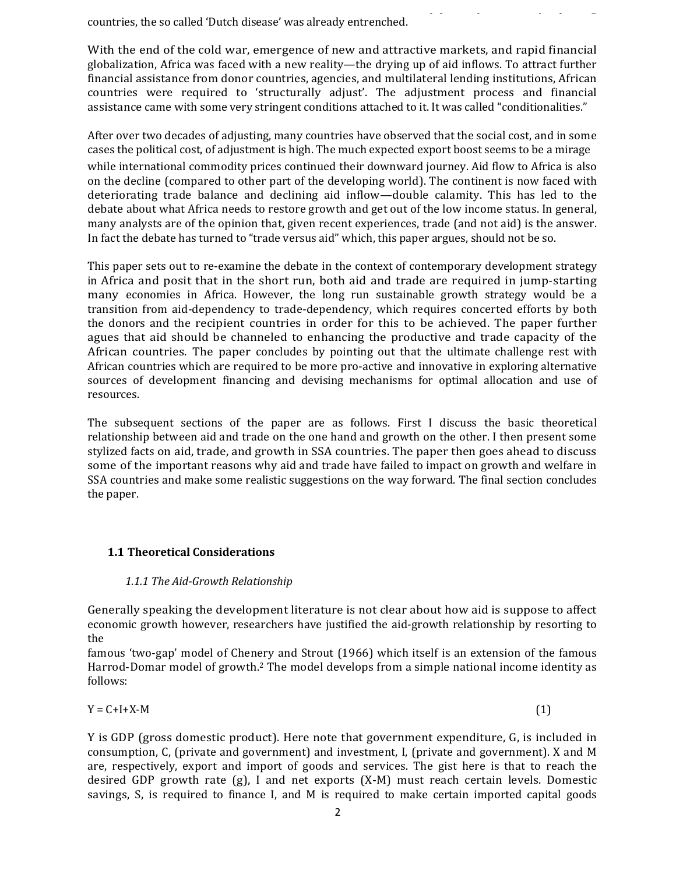countries, the so called 'Dutch disease' was already entrenched.

With the end of the cold war, emergence of new and attractive markets, and rapid financial globalization, Africa was faced with a new reality—the drying up of aid inflows. To attract further financial assistance from donor countries, agencies, and multilateral lending institutions, African countries were required to 'structurally adjust'. The adjustment process and financial assistance came with some very stringent conditions attached to it. It was called "conditionalities."

African countries  $\mathcal{A}^{\mathcal{A}}$  and  $\mathcal{A}^{\mathcal{A}}$  are the survival. In the survival  $\mathcal{A}^{\mathcal{A}}$ 

After over two decades of adjusting, many countries have observed that the social cost, and in some cases the political cost, of adjustment is high. The much expected export boost seems to be a mirage while international commodity prices continued their downward journey. Aid flow to Africa is also on the decline (compared to other part of the developing world). The continent is now faced with deteriorating trade balance and declining aid inflow—double calamity. This has led to the debate about what Africa needs to restore growth and get out of the low income status. In general, many analysts are of the opinion that, given recent experiences, trade (and not aid) is the answer. In fact the debate has turned to "trade versus aid" which, this paper argues, should not be so.

This paper sets out to re-examine the debate in the context of contemporary development strategy in Africa and posit that in the short run, both aid and trade are required in jump-starting many economies in Africa. However, the long run sustainable growth strategy would be a transition from aid-dependency to trade-dependency, which requires concerted efforts by both the donors and the recipient countries in order for this to be achieved. The paper further agues that aid should be channeled to enhancing the productive and trade capacity of the African countries. The paper concludes by pointing out that the ultimate challenge rest with African countries which are required to be more pro-active and innovative in exploring alternative sources of development financing and devising mechanisms for optimal allocation and use of resources. 

The subsequent sections of the paper are as follows. First I discuss the basic theoretical relationship between aid and trade on the one hand and growth on the other. I then present some stylized facts on aid, trade, and growth in SSA countries. The paper then goes ahead to discuss some of the important reasons why aid and trade have failed to impact on growth and welfare in SSA countries and make some realistic suggestions on the way forward. The final section concludes the paper.

# **1.1 Theoretical Considerations**

# 1.1.1 The Aid-Growth Relationship

Generally speaking the development literature is not clear about how aid is suppose to affect economic growth however, researchers have justified the aid-growth relationship by resorting to the 

famous 'two-gap' model of Chenery and Strout (1966) which itself is an extension of the famous Harrod-Domar model of growth.<sup>2</sup> The model develops from a simple national income identity as follows: 

 $Y = C + I + X - M$  (1)

Y is GDP (gross domestic product). Here note that government expenditure, G, is included in consumption, C, (private and government) and investment, I, (private and government). X and M are, respectively, export and import of goods and services. The gist here is that to reach the desired GDP growth rate  $(g)$ , I and net exports  $(X-M)$  must reach certain levels. Domestic savings, S, is required to finance I, and M is required to make certain imported capital goods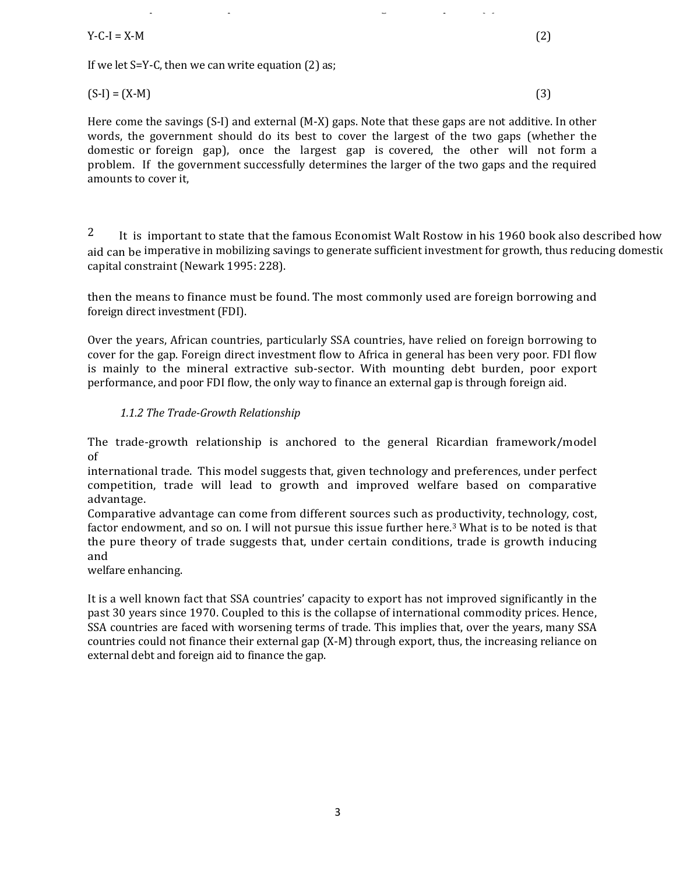$Y-C-I = X-M$  (2)

If we let  $S=Y-C$ , then we can write equation (2) as;

$$
(S-I) = (X-M) \tag{3}
$$

Here come the savings  $(S-I)$  and external  $(M-X)$  gaps. Note that these gaps are not additive. In other words, the government should do its best to cover the largest of the two gaps (whether the domestic or foreign gap), once the largest gap is covered, the other will not form a problem. If the government successfully determines the larger of the two gaps and the required amounts to cover it,

<sup>2</sup> It is important to state that the famous Economist Walt Rostow in his 1960 book also described how aid can be imperative in mobilizing savings to generate sufficient investment for growth, thus reducing domestic capital constraint (Newark 1995: 228).

then the means to finance must be found. The most commonly used are foreign borrowing and foreign direct investment (FDI).

Over the years, African countries, particularly SSA countries, have relied on foreign borrowing to cover for the gap. Foreign direct investment flow to Africa in general has been very poor. FDI flow is mainly to the mineral extractive sub-sector. With mounting debt burden, poor export performance, and poor FDI flow, the only way to finance an external gap is through foreign aid.

# 1.1.2 The Trade-Growth Relationship

The trade-growth relationship is anchored to the general Ricardian framework/model of 

international trade. This model suggests that, given technology and preferences, under perfect competition, trade will lead to growth and improved welfare based on comparative advantage. 

Comparative advantage can come from different sources such as productivity, technology, cost, factor endowment, and so on. I will not pursue this issue further here.<sup>3</sup> What is to be noted is that the pure theory of trade suggests that, under certain conditions, trade is growth inducing and 

welfare enhancing.

It is a well known fact that SSA countries' capacity to export has not improved significantly in the past 30 years since 1970. Coupled to this is the collapse of international commodity prices. Hence, SSA countries are faced with worsening terms of trade. This implies that, over the years, many SSA countries could not finance their external gap (X-M) through export, thus, the increasing reliance on external debt and foreign aid to finance the gap.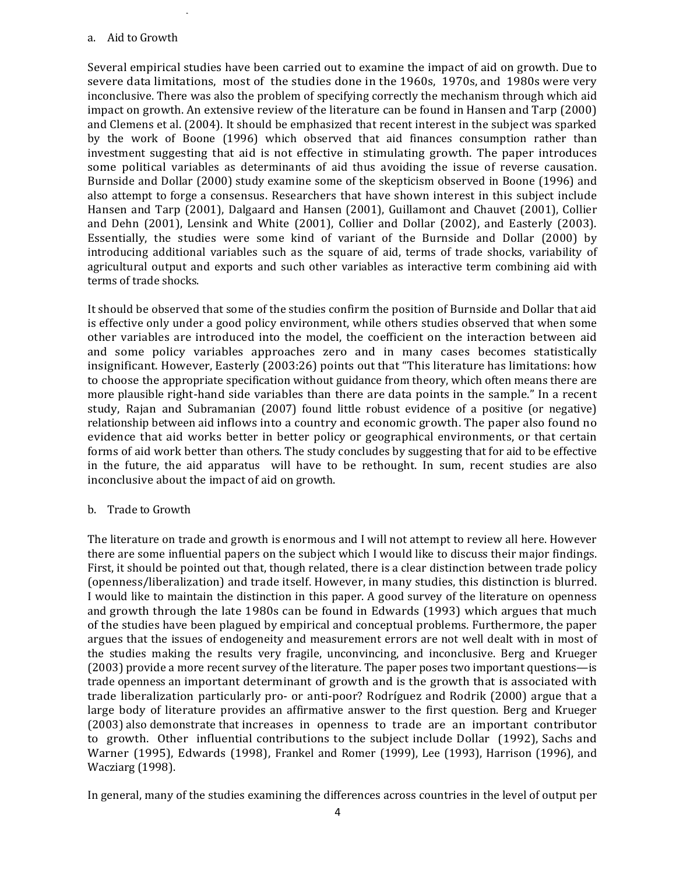#### a. Aid to Growth

Several empirical studies have been carried out to examine the impact of aid on growth. Due to severe data limitations, most of the studies done in the 1960s, 1970s, and 1980s were very inconclusive. There was also the problem of specifying correctly the mechanism through which aid impact on growth. An extensive review of the literature can be found in Hansen and Tarp (2000) and Clemens et al. (2004). It should be emphasized that recent interest in the subject was sparked by the work of Boone (1996) which observed that aid finances consumption rather than investment suggesting that aid is not effective in stimulating growth. The paper introduces some political variables as determinants of aid thus avoiding the issue of reverse causation. Burnside and Dollar (2000) study examine some of the skepticism observed in Boone (1996) and also attempt to forge a consensus. Researchers that have shown interest in this subject include Hansen and Tarp (2001), Dalgaard and Hansen (2001), Guillamont and Chauvet (2001), Collier and Dehn  $(2001)$ , Lensink and White  $(2001)$ , Collier and Dollar  $(2002)$ , and Easterly  $(2003)$ . Essentially, the studies were some kind of variant of the Burnside and Dollar (2000) by introducing additional variables such as the square of aid, terms of trade shocks, variability of agricultural output and exports and such other variables as interactive term combining aid with terms of trade shocks.

It should be observed that some of the studies confirm the position of Burnside and Dollar that aid is effective only under a good policy environment, while others studies observed that when some other variables are introduced into the model, the coefficient on the interaction between aid and some policy variables approaches zero and in many cases becomes statistically insignificant. However, Easterly  $(2003:26)$  points out that "This literature has limitations: how to choose the appropriate specification without guidance from theory, which often means there are more plausible right-hand side variables than there are data points in the sample." In a recent study, Rajan and Subramanian (2007) found little robust evidence of a positive (or negative) relationship between aid inflows into a country and economic growth. The paper also found no evidence that aid works better in better policy or geographical environments, or that certain forms of aid work better than others. The study concludes by suggesting that for aid to be effective in the future, the aid apparatus will have to be rethought. In sum, recent studies are also inconclusive about the impact of aid on growth.

## b. Trade to Growth

The literature on trade and growth is enormous and I will not attempt to review all here. However there are some influential papers on the subject which I would like to discuss their major findings. First, it should be pointed out that, though related, there is a clear distinction between trade policy (openness/liberalization) and trade itself. However, in many studies, this distinction is blurred. I would like to maintain the distinction in this paper. A good survey of the literature on openness and growth through the late 1980s can be found in Edwards (1993) which argues that much of the studies have been plagued by empirical and conceptual problems. Furthermore, the paper argues that the issues of endogeneity and measurement errors are not well dealt with in most of the studies making the results very fragile, unconvincing, and inconclusive. Berg and Krueger (2003) provide a more recent survey of the literature. The paper poses two important questions—is trade openness an important determinant of growth and is the growth that is associated with trade liberalization particularly pro- or anti-poor? Rodríguez and Rodrik (2000) argue that a large body of literature provides an affirmative answer to the first question. Berg and Krueger (2003) also demonstrate that increases in openness to trade are an important contributor to growth. Other influential contributions to the subject include Dollar (1992), Sachs and Warner (1995), Edwards (1998), Frankel and Romer (1999), Lee (1993), Harrison (1996), and Wacziarg (1998).

In general, many of the studies examining the differences across countries in the level of output per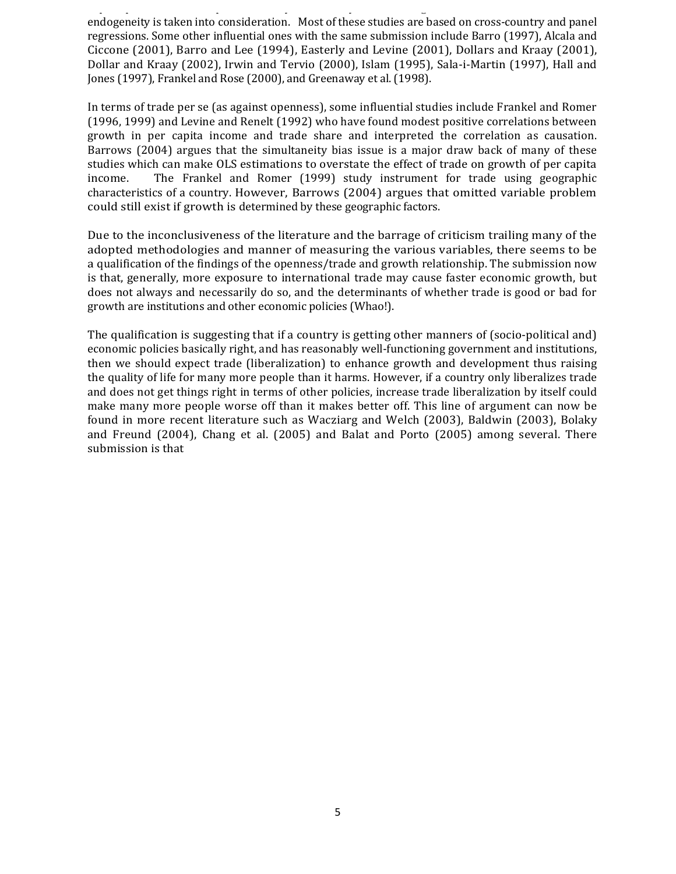endogeneity is taken into consideration. Most of these studies are based on cross-country and panel regressions. Some other influential ones with the same submission include Barro (1997), Alcala and Ciccone  $(2001)$ , Barro and Lee  $(1994)$ , Easterly and Levine  $(2001)$ , Dollars and Kraay  $(2001)$ , Dollar and Kraay (2002), Irwin and Tervio (2000), Islam (1995), Sala-i-Martin (1997), Hall and Jones (1997), Frankel and Rose (2000), and Greenaway et al. (1998).

capital  $\alpha$  is that  $\alpha$  is the  $\alpha$  -difference of  $\alpha$  is used to  $\alpha$  is used to  $\alpha$  is used to  $\alpha$ 

In terms of trade per se (as against openness), some influential studies include Frankel and Romer (1996, 1999) and Levine and Renelt (1992) who have found modest positive correlations between growth in per capita income and trade share and interpreted the correlation as causation. Barrows (2004) argues that the simultaneity bias issue is a major draw back of many of these studies which can make OLS estimations to overstate the effect of trade on growth of per capita income. The Frankel and Romer (1999) study instrument for trade using geographic characteristics of a country. However, Barrows (2004) argues that omitted variable problem could still exist if growth is determined by these geographic factors.

Due to the inconclusiveness of the literature and the barrage of criticism trailing many of the adopted methodologies and manner of measuring the various variables, there seems to be a qualification of the findings of the openness/trade and growth relationship. The submission now is that, generally, more exposure to international trade may cause faster economic growth, but does not always and necessarily do so, and the determinants of whether trade is good or bad for growth are institutions and other economic policies (Whao!).

The qualification is suggesting that if a country is getting other manners of (socio-political and) economic policies basically right, and has reasonably well-functioning government and institutions, then we should expect trade (liberalization) to enhance growth and development thus raising the quality of life for many more people than it harms. However, if a country only liberalizes trade and does not get things right in terms of other policies, increase trade liberalization by itself could make many more people worse off than it makes better off. This line of argument can now be found in more recent literature such as Wacziarg and Welch (2003), Baldwin (2003), Bolaky and Freund  $(2004)$ , Chang et al.  $(2005)$  and Balat and Porto  $(2005)$  among several. There submission is that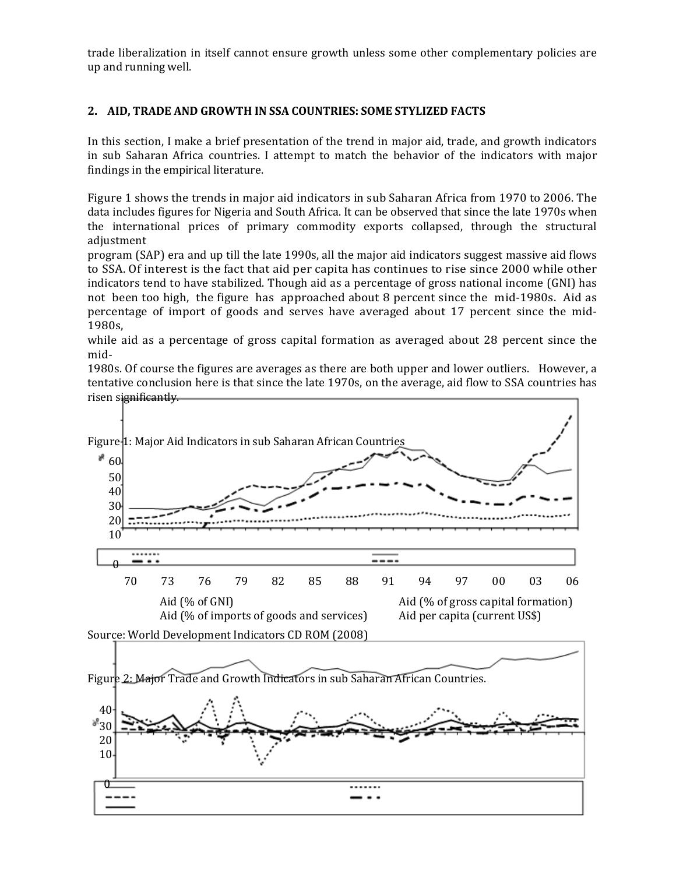trade liberalization in itself cannot ensure growth unless some other complementary policies are up and running well.

# **2. AID, TRADE AND GROWTH IN SSA COUNTRIES: SOME STYLIZED FACTS**

In this section, I make a brief presentation of the trend in major aid, trade, and growth indicators in sub Saharan Africa countries. I attempt to match the behavior of the indicators with major findings in the empirical literature.

Figure 1 shows the trends in major aid indicators in sub Saharan Africa from 1970 to 2006. The data includes figures for Nigeria and South Africa. It can be observed that since the late 1970s when the international prices of primary commodity exports collapsed, through the structural adjustment 

program (SAP) era and up till the late 1990s, all the major aid indicators suggest massive aid flows to SSA. Of interest is the fact that aid per capita has continues to rise since 2000 while other indicators tend to have stabilized. Though aid as a percentage of gross national income (GNI) has not been too high, the figure has approached about 8 percent since the mid-1980s. Aid as percentage of import of goods and serves have averaged about 17 percent since the mid-1980s, 

while aid as a percentage of gross capital formation as averaged about 28 percent since the mid-

1980s. Of course the figures are averages as there are both upper and lower outliers. However, a tentative conclusion here is that since the late 1970s, on the average, aid flow to SSA countries has risen significantly.

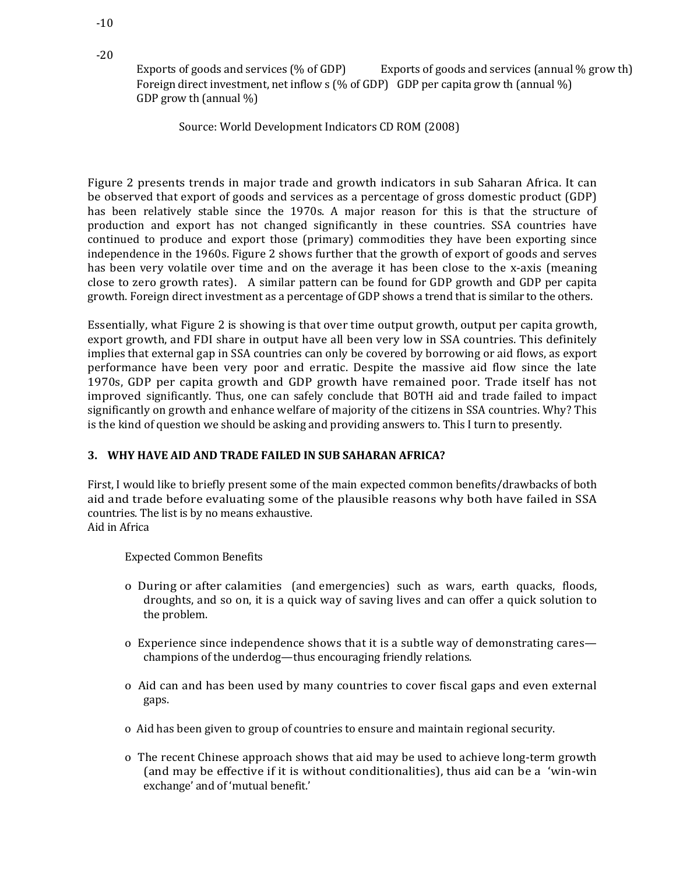Exports of goods and services  $(\%$  of GDP) Exports of goods and services (annual  $\%$  grow th) Foreign direct investment, net inflow s  $\left(\%$  of GDP) GDP per capita grow th (annual  $\%$ ) GDP grow th (annual  $\%$ )

Source: World Development Indicators CD ROM (2008)

Figure 2 presents trends in major trade and growth indicators in sub Saharan Africa. It can be observed that export of goods and services as a percentage of gross domestic product (GDP) has been relatively stable since the 1970s. A major reason for this is that the structure of production and export has not changed significantly in these countries. SSA countries have continued to produce and export those (primary) commodities they have been exporting since independence in the 1960s. Figure 2 shows further that the growth of export of goods and serves has been very volatile over time and on the average it has been close to the x-axis (meaning close to zero growth rates). A similar pattern can be found for GDP growth and GDP per capita growth. Foreign direct investment as a percentage of GDP shows a trend that is similar to the others.

Essentially, what Figure 2 is showing is that over time output growth, output per capita growth, export growth, and FDI share in output have all been very low in SSA countries. This definitely implies that external gap in SSA countries can only be covered by borrowing or aid flows, as export performance have been very poor and erratic. Despite the massive aid flow since the late 1970s, GDP per capita growth and GDP growth have remained poor. Trade itself has not improved significantly. Thus, one can safely conclude that BOTH aid and trade failed to impact significantly on growth and enhance welfare of majority of the citizens in SSA countries. Why? This is the kind of question we should be asking and providing answers to. This I turn to presently.

## **3. WHY HAVE AID AND TRADE FAILED IN SUB SAHARAN AFRICA?**

First, I would like to briefly present some of the main expected common benefits/drawbacks of both aid and trade before evaluating some of the plausible reasons why both have failed in SSA countries. The list is by no means exhaustive. Aid in Africa

Expected Common Benefits 

- o During or after calamities (and emergencies) such as wars, earth quacks, floods, droughts, and so on, it is a quick way of saving lives and can offer a quick solution to the problem.
- o Experience since independence shows that it is a subtle way of demonstrating cares champions of the underdog—thus encouraging friendly relations.
- o Aid can and has been used by many countries to cover fiscal gaps and even external gaps.
- o Aid has been given to group of countries to ensure and maintain regional security.
- o The recent Chinese approach shows that aid may be used to achieve long-term growth (and may be effective if it is without conditionalities), thus aid can be a 'win-win exchange' and of 'mutual benefit.'

-20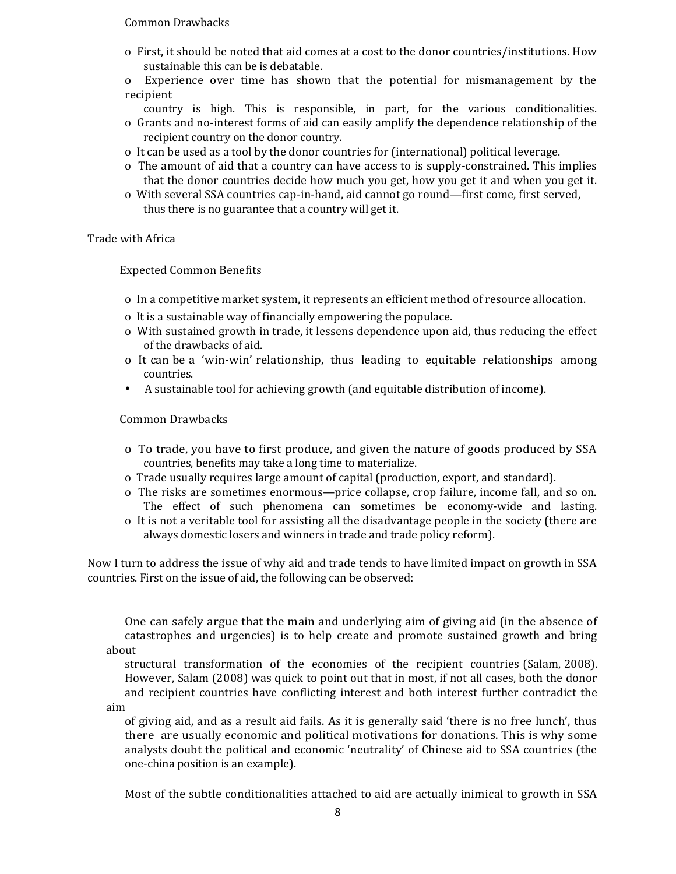#### Common Drawbacks

o First, it should be noted that aid comes at a cost to the donor countries/institutions. How sustainable this can be is debatable.

o Experience over time has shown that the potential for mismanagement by the recipient 

- country is high. This is responsible, in part, for the various conditionalities.
- o Grants and no-interest forms of aid can easily amplify the dependence relationship of the recipient country on the donor country.
- o It can be used as a tool by the donor countries for (international) political leverage.
- o The amount of aid that a country can have access to is supply-constrained. This implies that the donor countries decide how much you get, how you get it and when you get it.
- o With several SSA countries cap-in-hand, aid cannot go round—first come, first served, thus there is no guarantee that a country will get it.

## Trade with Africa

Expected Common Benefits 

- o In a competitive market system, it represents an efficient method of resource allocation.
- o It is a sustainable way of financially empowering the populace.
- o With sustained growth in trade, it lessens dependence upon aid, thus reducing the effect of the drawbacks of aid.
- o It can be a 'win-win' relationship, thus leading to equitable relationships among countries.
- A sustainable tool for achieving growth (and equitable distribution of income).

Common Drawbacks 

- o To trade, you have to first produce, and given the nature of goods produced by SSA countries, benefits may take a long time to materialize.
- o Trade usually requires large amount of capital (production, export, and standard).
- o The risks are sometimes enormous—price collapse, crop failure, income fall, and so on. The effect of such phenomena can sometimes be economy-wide and lasting.
- o It is not a veritable tool for assisting all the disadvantage people in the society (there are always domestic losers and winners in trade and trade policy reform).

Now I turn to address the issue of why aid and trade tends to have limited impact on growth in SSA countries. First on the issue of aid, the following can be observed:

One can safely argue that the main and underlying aim of giving aid (in the absence of catastrophes and urgencies) is to help create and promote sustained growth and bring about 

structural transformation of the economies of the recipient countries (Salam, 2008). However, Salam (2008) was quick to point out that in most, if not all cases, both the donor and recipient countries have conflicting interest and both interest further contradict the

aim 

of giving aid, and as a result aid fails. As it is generally said 'there is no free lunch', thus there are usually economic and political motivations for donations. This is why some analysts doubt the political and economic 'neutrality' of Chinese aid to SSA countries (the one-china position is an example).

Most of the subtle conditionalities attached to aid are actually inimical to growth in SSA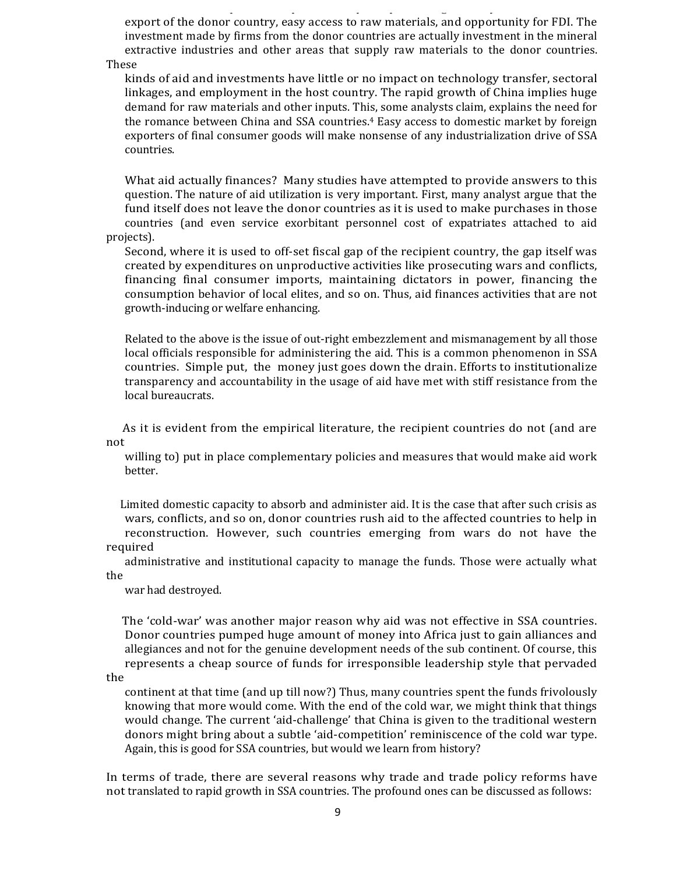export of the donor country, easy access to raw materials, and opportunity for FDI. The investment made by firms from the donor countries are actually investment in the mineral extractive industries and other areas that supply raw materials to the donor countries. These 

countries. For  $\epsilon$  is the  $\epsilon$  matrix  $\epsilon$  and  $\epsilon$  as  $\epsilon$  as  $\epsilon$  as  $\epsilon$  to  $\epsilon$  to  $\epsilon$ 

kinds of aid and investments have little or no impact on technology transfer, sectoral linkages, and employment in the host country. The rapid growth of China implies huge demand for raw materials and other inputs. This, some analysts claim, explains the need for the romance between China and SSA countries.<sup>4</sup> Easy access to domestic market by foreign exporters of final consumer goods will make nonsense of any industrialization drive of SSA countries. 

What aid actually finances? Many studies have attempted to provide answers to this question. The nature of aid utilization is very important. First, many analyst argue that the fund itself does not leave the donor countries as it is used to make purchases in those countries (and even service exorbitant personnel cost of expatriates attached to aid projects). 

Second, where it is used to off-set fiscal gap of the recipient country, the gap itself was created by expenditures on unproductive activities like prosecuting wars and conflicts, financing final consumer imports, maintaining dictators in power, financing the consumption behavior of local elites, and so on. Thus, aid finances activities that are not growth-inducing or welfare enhancing.

Related to the above is the issue of out-right embezzlement and mismanagement by all those local officials responsible for administering the aid. This is a common phenomenon in SSA countries. Simple put, the money just goes down the drain. Efforts to institutionalize transparency and accountability in the usage of aid have met with stiff resistance from the local bureaucrats.

As it is evident from the empirical literature, the recipient countries do not (and are not 

willing to) put in place complementary policies and measures that would make aid work better. 

Limited domestic capacity to absorb and administer aid. It is the case that after such crisis as wars, conflicts, and so on, donor countries rush aid to the affected countries to help in reconstruction. However, such countries emerging from wars do not have the required 

administrative and institutional capacity to manage the funds. Those were actually what the 

war had destroyed.

The 'cold-war' was another major reason why aid was not effective in SSA countries. Donor countries pumped huge amount of money into Africa just to gain alliances and allegiances and not for the genuine development needs of the sub continent. Of course, this represents a cheap source of funds for irresponsible leadership style that pervaded

the 

continent at that time (and up till now?) Thus, many countries spent the funds frivolously knowing that more would come. With the end of the cold war, we might think that things would change. The current 'aid-challenge' that China is given to the traditional western donors might bring about a subtle 'aid-competition' reminiscence of the cold war type. Again, this is good for SSA countries, but would we learn from history?

In terms of trade, there are several reasons why trade and trade policy reforms have not translated to rapid growth in SSA countries. The profound ones can be discussed as follows: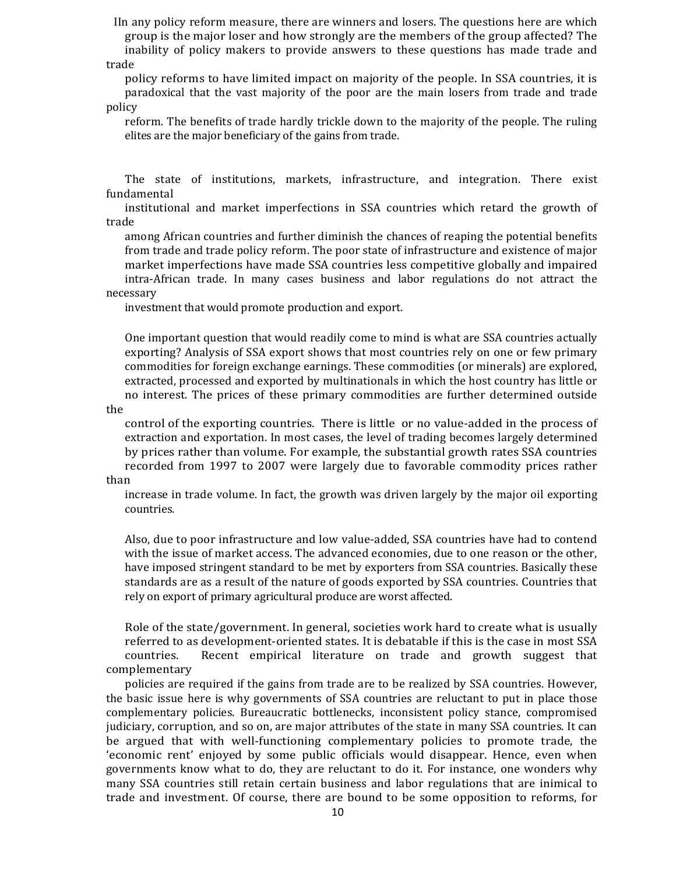IIn any policy reform measure, there are winners and losers. The questions here are which group is the major loser and how strongly are the members of the group affected? The inability of policy makers to provide answers to these questions has made trade and trade 

policy reforms to have limited impact on majority of the people. In SSA countries, it is paradoxical that the vast majority of the poor are the main losers from trade and trade policy 

reform. The benefits of trade hardly trickle down to the majority of the people. The ruling elites are the major beneficiary of the gains from trade.

The state of institutions, markets, infrastructure, and integration. There exist fundamental 

institutional and market imperfections in SSA countries which retard the growth of trade 

among African countries and further diminish the chances of reaping the potential benefits from trade and trade policy reform. The poor state of infrastructure and existence of major market imperfections have made SSA countries less competitive globally and impaired intra-African trade. In many cases business and labor regulations do not attract the necessary 

investment that would promote production and export.

One important question that would readily come to mind is what are SSA countries actually exporting? Analysis of SSA export shows that most countries rely on one or few primary commodities for foreign exchange earnings. These commodities (or minerals) are explored, extracted, processed and exported by multinationals in which the host country has little or no interest. The prices of these primary commodities are further determined outside

the 

control of the exporting countries. There is little or no value-added in the process of extraction and exportation. In most cases, the level of trading becomes largely determined by prices rather than volume. For example, the substantial growth rates SSA countries recorded from 1997 to 2007 were largely due to favorable commodity prices rather

#### than

increase in trade volume. In fact, the growth was driven largely by the major oil exporting countries. 

Also, due to poor infrastructure and low value-added, SSA countries have had to contend with the issue of market access. The advanced economies, due to one reason or the other, have imposed stringent standard to be met by exporters from SSA countries. Basically these standards are as a result of the nature of goods exported by SSA countries. Countries that rely on export of primary agricultural produce are worst affected.

Role of the state/government. In general, societies work hard to create what is usually referred to as development-oriented states. It is debatable if this is the case in most SSA countries. Recent empirical literature on trade and growth suggest that complementary 

policies are required if the gains from trade are to be realized by SSA countries. However, the basic issue here is why governments of SSA countries are reluctant to put in place those complementary policies. Bureaucratic bottlenecks, inconsistent policy stance, compromised judiciary, corruption, and so on, are major attributes of the state in many SSA countries. It can be argued that with well-functioning complementary policies to promote trade, the 'economic rent' enjoyed by some public officials would disappear. Hence, even when governments know what to do, they are reluctant to do it. For instance, one wonders why many SSA countries still retain certain business and labor regulations that are inimical to trade and investment. Of course, there are bound to be some opposition to reforms, for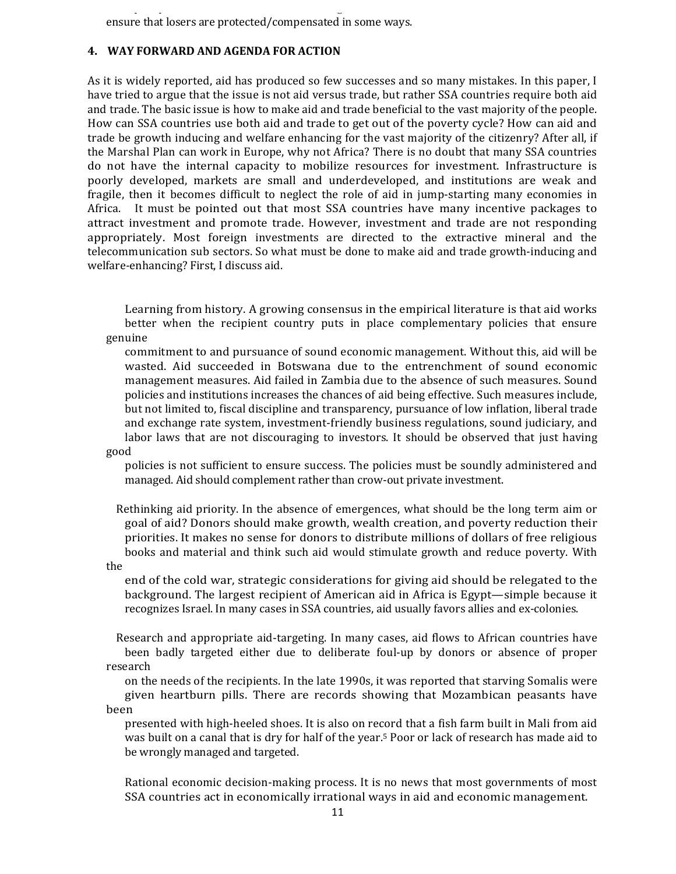ensure that losers are protected/compensated in some ways.

# **4. WAY FORWARD AND AGENDA FOR ACTION**

As it is widely reported, aid has produced so few successes and so many mistakes. In this paper, I have tried to argue that the issue is not aid versus trade, but rather SSA countries require both aid and trade. The basic issue is how to make aid and trade beneficial to the vast majority of the people. How can SSA countries use both aid and trade to get out of the poverty cycle? How can aid and trade be growth inducing and welfare enhancing for the vast majority of the citizenry? After all, if the Marshal Plan can work in Europe, why not Africa? There is no doubt that many SSA countries do not have the internal capacity to mobilize resources for investment. Infrastructure is poorly developed, markets are small and underdeveloped, and institutions are weak and fragile, then it becomes difficult to neglect the role of aid in jump-starting many economies in Africa. It must be pointed out that most SSA countries have many incentive packages to attract investment and promote trade. However, investment and trade are not responding appropriately. Most foreign investments are directed to the extractive mineral and the telecommunication sub sectors. So what must be done to make aid and trade growth-inducing and welfare-enhancing? First, I discuss aid.

Learning from history. A growing consensus in the empirical literature is that aid works better when the recipient country puts in place complementary policies that ensure genuine 

commitment to and pursuance of sound economic management. Without this, aid will be wasted. Aid succeeded in Botswana due to the entrenchment of sound economic management measures. Aid failed in Zambia due to the absence of such measures. Sound policies and institutions increases the chances of aid being effective. Such measures include, but not limited to, fiscal discipline and transparency, pursuance of low inflation, liberal trade and exchange rate system, investment-friendly business regulations, sound judiciary, and labor laws that are not discouraging to investors. It should be observed that just having

good 

policies is not sufficient to ensure success. The policies must be soundly administered and managed. Aid should complement rather than crow-out private investment.

Rethinking aid priority. In the absence of emergences, what should be the long term aim or goal of aid? Donors should make growth, wealth creation, and poverty reduction their priorities. It makes no sense for donors to distribute millions of dollars of free religious books and material and think such aid would stimulate growth and reduce poverty. With

the 

end of the cold war, strategic considerations for giving aid should be relegated to the background. The largest recipient of American aid in Africa is Egypt—simple because it recognizes Israel. In many cases in SSA countries, aid usually favors allies and ex-colonies.

Research and appropriate aid-targeting. In many cases, aid flows to African countries have been badly targeted either due to deliberate foul-up by donors or absence of proper research 

on the needs of the recipients. In the late 1990s, it was reported that starving Somalis were given heartburn pills. There are records showing that Mozambican peasants have been 

presented with high-heeled shoes. It is also on record that a fish farm built in Mali from aid was built on a canal that is dry for half of the year.<sup>5</sup> Poor or lack of research has made aid to be wrongly managed and targeted.

Rational economic decision-making process. It is no news that most governments of most SSA countries act in economically irrational ways in aid and economic management.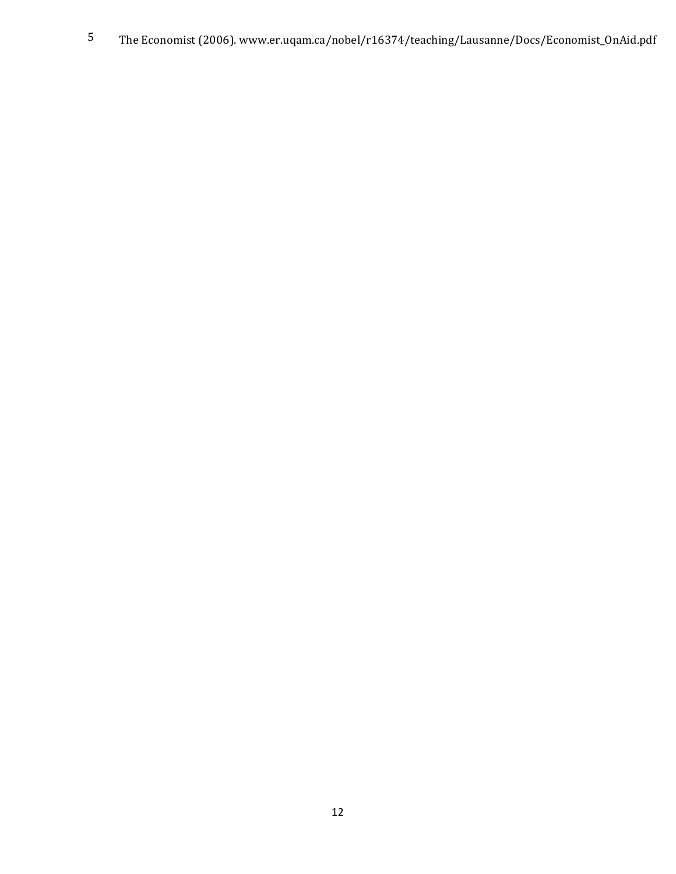5 The Economist (2006). www.er.uqam.ca/nobel/r16374/teaching/Lausanne/Docs/Economist\_OnAid.pdf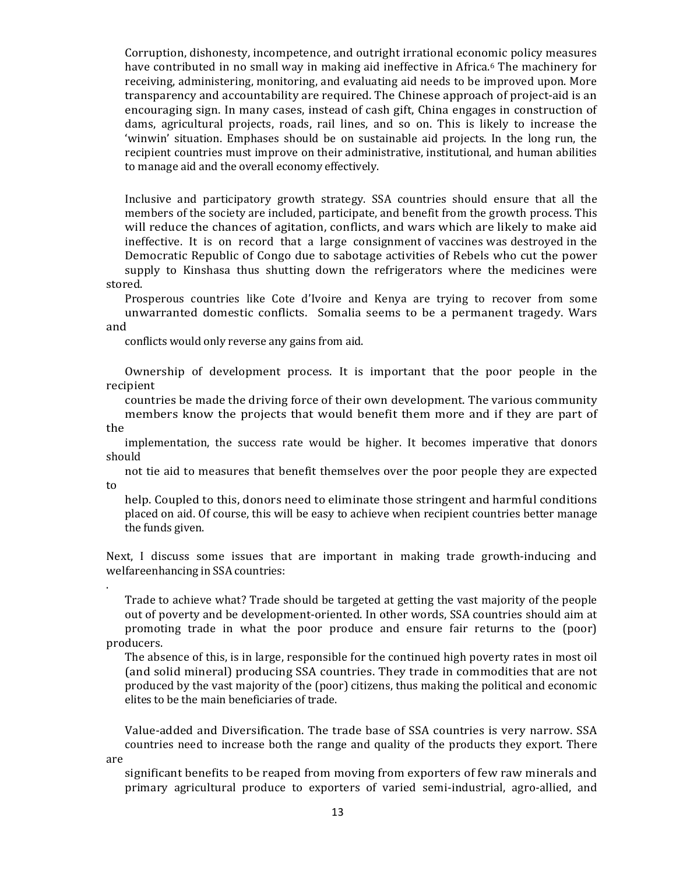Corruption, dishonesty, incompetence, and outright irrational economic policy measures have contributed in no small way in making aid ineffective in Africa.<sup>6</sup> The machinery for receiving, administering, monitoring, and evaluating aid needs to be improved upon. More transparency and accountability are required. The Chinese approach of project-aid is an encouraging sign. In many cases, instead of cash gift, China engages in construction of dams, agricultural projects, roads, rail lines, and so on. This is likely to increase the 'winwin' situation. Emphases should be on sustainable aid projects. In the long run, the recipient countries must improve on their administrative, institutional, and human abilities to manage aid and the overall economy effectively.

Inclusive and participatory growth strategy. SSA countries should ensure that all the members of the society are included, participate, and benefit from the growth process. This will reduce the chances of agitation, conflicts, and wars which are likely to make aid ineffective. It is on record that a large consignment of vaccines was destroyed in the Democratic Republic of Congo due to sabotage activities of Rebels who cut the power supply to Kinshasa thus shutting down the refrigerators where the medicines were stored. 

Prosperous countries like Cote d'Ivoire and Kenya are trying to recover from some unwarranted domestic conflicts. Somalia seems to be a permanent tragedy. Wars and 

conflicts would only reverse any gains from aid.

Ownership of development process. It is important that the poor people in the recipient 

countries be made the driving force of their own development. The various community members know the projects that would benefit them more and if they are part of

the 

. 

implementation, the success rate would be higher. It becomes imperative that donors should 

not tie aid to measures that benefit themselves over the poor people they are expected to 

help. Coupled to this, donors need to eliminate those stringent and harmful conditions placed on aid. Of course, this will be easy to achieve when recipient countries better manage the funds given.

Next, I discuss some issues that are important in making trade growth-inducing and welfareenhancing in SSA countries:

Trade to achieve what? Trade should be targeted at getting the vast majority of the people out of poverty and be development-oriented. In other words, SSA countries should aim at promoting trade in what the poor produce and ensure fair returns to the (poor) producers. 

The absence of this, is in large, responsible for the continued high poverty rates in most oil (and solid mineral) producing SSA countries. They trade in commodities that are not produced by the vast majority of the (poor) citizens, thus making the political and economic elites to be the main beneficiaries of trade.

Value-added and Diversification. The trade base of SSA countries is very narrow. SSA countries need to increase both the range and quality of the products they export. There are 

significant benefits to be reaped from moving from exporters of few raw minerals and primary agricultural produce to exporters of varied semi-industrial, agro-allied, and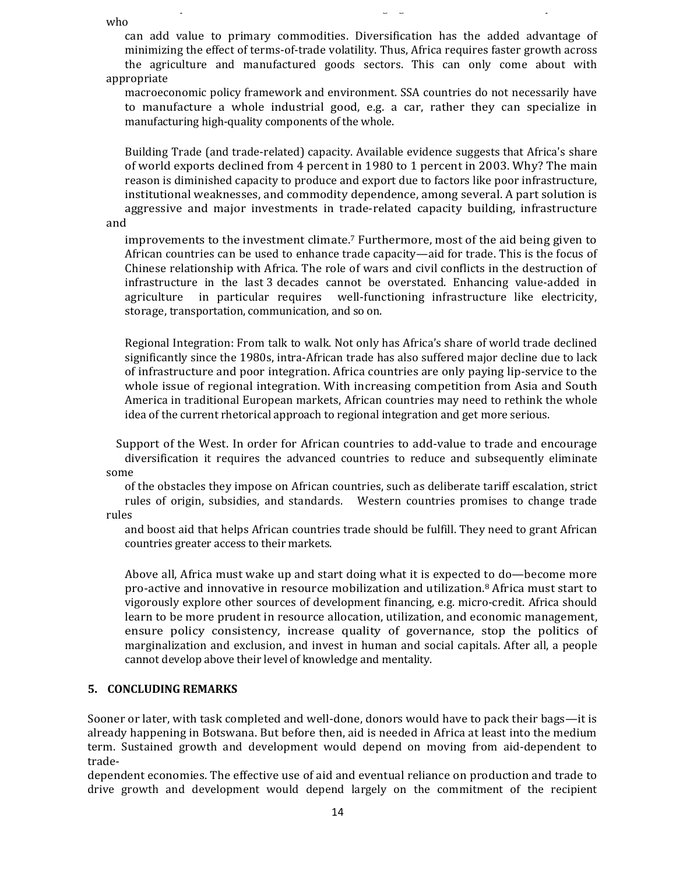who 

can add value to primary commodities. Diversification has the added advantage of minimizing the effect of terms-of-trade volatility. Thus, Africa requires faster growth across the agriculture and manufactured goods sectors. This can only come about with appropriate 

macroeconomic policy framework and environment. SSA countries do not necessarily have to manufacture a whole industrial good, e.g. a car, rather they can specialize in manufacturing high-quality components of the whole.

Building Trade (and trade-related) capacity. Available evidence suggests that Africa's share of world exports declined from 4 percent in 1980 to 1 percent in 2003. Why? The main reason is diminished capacity to produce and export due to factors like poor infrastructure, institutional weaknesses, and commodity dependence, among several. A part solution is aggressive and major investments in trade-related capacity building, infrastructure

and 

improvements to the investment climate.<sup>7</sup> Furthermore, most of the aid being given to African countries can be used to enhance trade capacity—aid for trade. This is the focus of Chinese relationship with Africa. The role of wars and civil conflicts in the destruction of infrastructure in the last  $3$  decades cannot be overstated. Enhancing value-added in agriculture in particular requires well-functioning infrastructure like electricity, storage, transportation, communication, and so on.

Regional Integration: From talk to walk. Not only has Africa's share of world trade declined significantly since the 1980s, intra-African trade has also suffered major decline due to lack of infrastructure and poor integration. Africa countries are only paying lip-service to the whole issue of regional integration. With increasing competition from Asia and South America in traditional European markets, African countries may need to rethink the whole idea of the current rhetorical approach to regional integration and get more serious.

Support of the West. In order for African countries to add-value to trade and encourage diversification it requires the advanced countries to reduce and subsequently eliminate some 

of the obstacles they impose on African countries, such as deliberate tariff escalation, strict rules of origin, subsidies, and standards. Western countries promises to change trade

rules 

and boost aid that helps African countries trade should be fulfill. They need to grant African countries greater access to their markets.

Above all, Africa must wake up and start doing what it is expected to do—become more pro-active and innovative in resource mobilization and utilization.<sup>8</sup> Africa must start to vigorously explore other sources of development financing, e.g. micro-credit. Africa should learn to be more prudent in resource allocation, utilization, and economic management, ensure policy consistency, increase quality of governance, stop the politics of marginalization and exclusion, and invest in human and social capitals. After all, a people cannot develop above their level of knowledge and mentality.

## **5. CONCLUDING REMARKS**

Sooner or later, with task completed and well-done, donors would have to pack their bags—it is already happening in Botswana. But before then, aid is needed in Africa at least into the medium term. Sustained growth and development would depend on moving from aid-dependent to trade-

dependent economies. The effective use of aid and eventual reliance on production and trade to drive growth and development would depend largely on the commitment of the recipient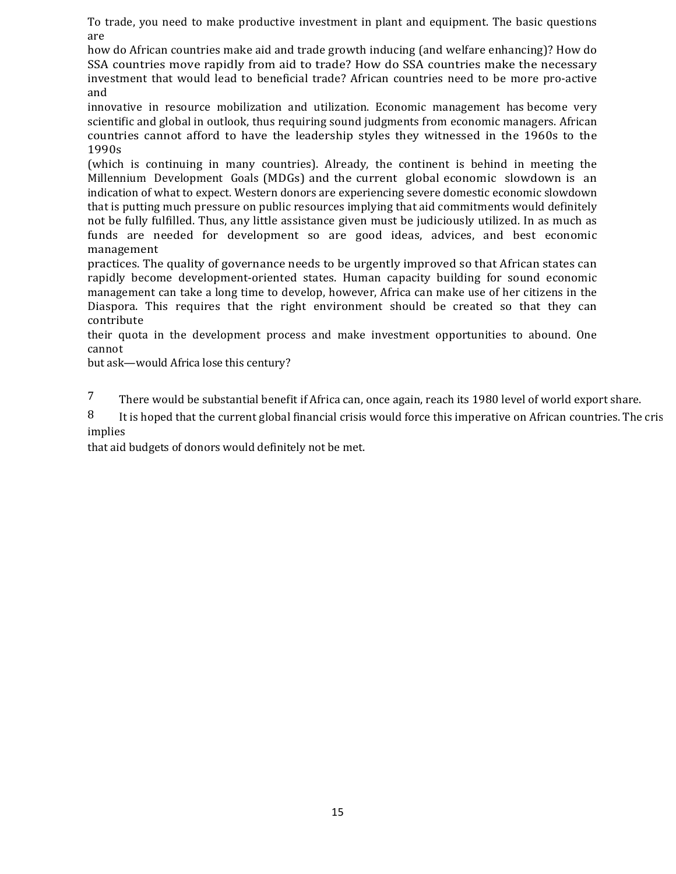To trade, you need to make productive investment in plant and equipment. The basic questions are 

how do African countries make aid and trade growth inducing (and welfare enhancing)? How do SSA countries move rapidly from aid to trade? How do SSA countries make the necessary investment that would lead to beneficial trade? African countries need to be more pro-active and 

innovative in resource mobilization and utilization. Economic management has become very scientific and global in outlook, thus requiring sound judgments from economic managers. African countries cannot afford to have the leadership styles they witnessed in the 1960s to the 1990s 

(which is continuing in many countries). Already, the continent is behind in meeting the Millennium Development Goals (MDGs) and the current global economic slowdown is an indication of what to expect. Western donors are experiencing severe domestic economic slowdown that is putting much pressure on public resources implying that aid commitments would definitely not be fully fulfilled. Thus, any little assistance given must be judiciously utilized. In as much as funds are needed for development so are good ideas, advices, and best economic management 

practices. The quality of governance needs to be urgently improved so that African states can rapidly become development-oriented states. Human capacity building for sound economic management can take a long time to develop, however, Africa can make use of her citizens in the Diaspora. This requires that the right environment should be created so that they can contribute 

their quota in the development process and make investment opportunities to abound. One cannot 

but ask—would Africa lose this century?

7 There would be substantial benefit if Africa can, once again, reach its 1980 level of world export share.

 $8$  It is hoped that the current global financial crisis would force this imperative on African countries. The cris implies

that aid budgets of donors would definitely not be met.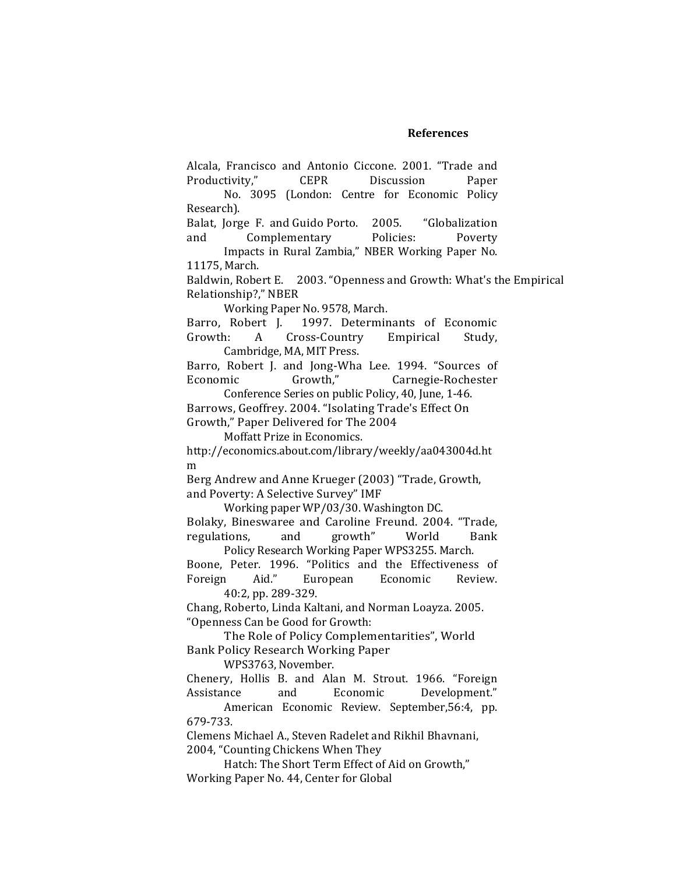#### **References**

Alcala, Francisco and Antonio Ciccone. 2001. "Trade and Productivity," CEPR Discussion Paper

No. 3095 (London: Centre for Economic Policy Research). 

Balat, Jorge F. and Guido Porto. 2005. "Globalization and Complementary Policies: Poverty

Impacts in Rural Zambia," NBER Working Paper No. 11175, March.

Baldwin, Robert E. 2003. "Openness and Growth: What's the Empirical Relationship?," NBER

Working Paper No. 9578, March.

Barro, Robert J. 1997. Determinants of Economic Growth: A Cross-Country Empirical Study, Cambridge, MA, MIT Press.

Barro, Robert J. and Jong-Wha Lee. 1994. "Sources of Economic Growth," Carnegie-Rochester

Conference Series on public Policy, 40, June, 1-46.

Barrows, Geoffrey. 2004. "Isolating Trade's Effect On Growth," Paper Delivered for The 2004

Moffatt Prize in Economics.

http://economics.about.com/library/weekly/aa043004d.ht m 

Berg Andrew and Anne Krueger (2003) "Trade, Growth, and Poverty: A Selective Survey" IMF

Working paper WP/03/30. Washington DC. Bolaky, Bineswaree and Caroline Freund. 2004. "Trade, regulations, and growth" World Bank

Policy Research Working Paper WPS3255. March.

Boone, Peter. 1996. "Politics and the Effectiveness of Foreign Aid." European Economic Review. 40:2, pp. 289-329. 

Chang, Roberto, Linda Kaltani, and Norman Loayza. 2005. "Openness Can be Good for Growth: 

The Role of Policy Complementarities", World Bank Policy Research Working Paper 

WPS3763, November.

Chenery, Hollis B. and Alan M. Strout. 1966. "Foreign Assistance and Economic Development." American Economic Review. September, 56:4, pp.

679-733. 

Clemens Michael A., Steven Radelet and Rikhil Bhavnani, 2004, "Counting Chickens When They

Hatch: The Short Term Effect of Aid on Growth," Working Paper No. 44, Center for Global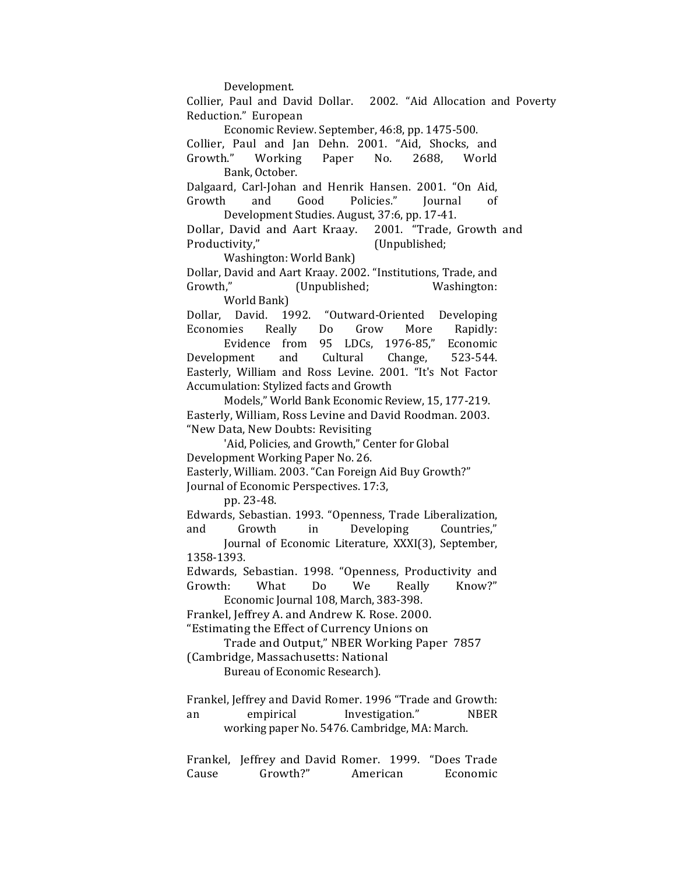Development. 

Collier, Paul and David Dollar. 2002. "Aid Allocation and Poverty Reduction." European

Economic Review. September, 46:8, pp. 1475-500. Collier, Paul and Jan Dehn. 2001. "Aid, Shocks, and Growth." Working Paper No. 2688, World Bank, October.

Dalgaard, Carl-Johan and Henrik Hansen. 2001. "On Aid, Growth and Good Policies." Journal of Development Studies. August, 37:6, pp. 17-41.

Dollar, David and Aart Kraay. 2001. "Trade, Growth and Productivity," (Unpublished;

Washington: World Bank)

Dollar, David and Aart Kraay. 2002. "Institutions, Trade, and Growth," [Unpublished; Washington: World Bank)

Dollar, David. 1992. "Outward-Oriented Developing Economies Really Do Grow More Rapidly: Evidence from 95 LDCs, 1976-85," Economic Development and Cultural Change, 523-544. Easterly, William and Ross Levine. 2001. "It's Not Factor Accumulation: Stylized facts and Growth

Models," World Bank Economic Review, 15, 177-219. Easterly, William, Ross Levine and David Roodman. 2003. "New Data, New Doubts: Revisiting

'Aid, Policies, and Growth," Center for Global Development Working Paper No. 26.

Easterly, William. 2003. "Can Foreign Aid Buy Growth?" Journal of Economic Perspectives. 17:3,

pp. 23-48. 

Edwards, Sebastian. 1993. "Openness, Trade Liberalization, and Growth in Developing Countries,"

Journal of Economic Literature, XXXI(3), September, 1358-1393. 

Edwards, Sebastian. 1998. "Openness, Productivity and Growth: What Do We Really Know?" Economic Journal 108, March, 383-398.

Frankel, Jeffrey A. and Andrew K. Rose. 2000.

"Estimating the Effect of Currency Unions on

Trade and Output," NBER Working Paper 7857 (Cambridge, Massachusetts: National

Bureau of Economic Research).

Frankel, Jeffrey and David Romer. 1996 "Trade and Growth: an empirical Investigation." NBER working paper No. 5476. Cambridge, MA: March.

Frankel, Jeffrey and David Romer. 1999. "Does Trade Cause Growth?" American Economic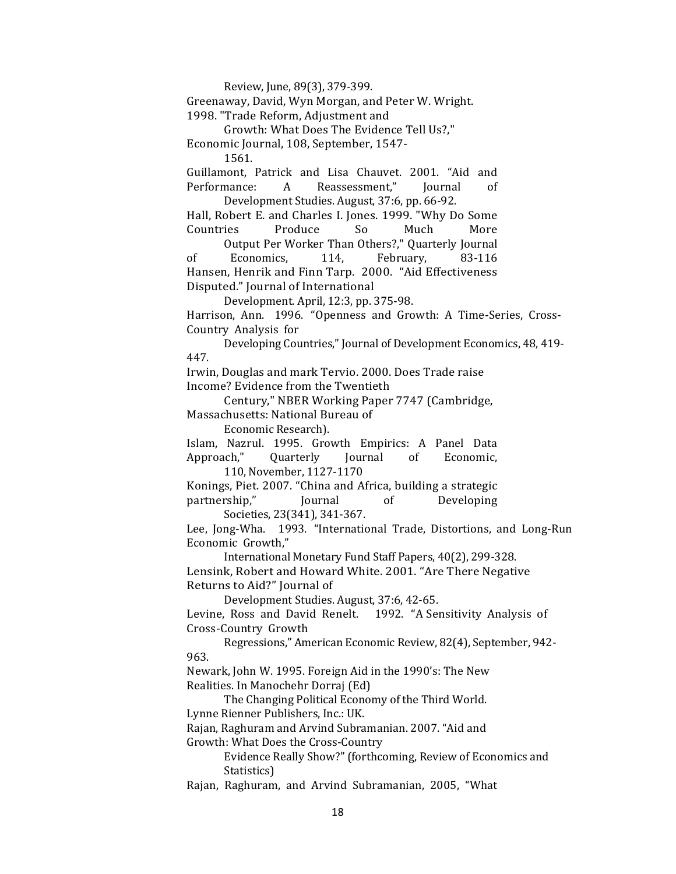Review, June, 89(3), 379-399. Greenaway, David, Wyn Morgan, and Peter W. Wright. 1998. "Trade Reform, Adjustment and Growth: What Does The Evidence Tell Us?," Economic Journal, 108, September, 1547-1561. Guillamont. Patrick and Lisa Chauvet. 2001. "Aid and Performance: A Reassessment." Iournal of Development Studies. August, 37:6, pp. 66-92. Hall, Robert E. and Charles I. Jones. 1999. "Why Do Some Countries Produce So Much More Output Per Worker Than Others?," Quarterly Journal of Economics, 114, February, 83-116 Hansen, Henrik and Finn Tarp. 2000. "Aid Effectiveness Disputed." Journal of International Development. April, 12:3, pp. 375-98. Harrison, Ann. 1996. "Openness and Growth: A Time-Series, Cross-Country Analysis for Developing Countries," Journal of Development Economics, 48, 419-447. Irwin, Douglas and mark Tervio. 2000. Does Trade raise Income? Evidence from the Twentieth Century," NBER Working Paper 7747 (Cambridge, Massachusetts: National Bureau of Economic Research). Islam, Nazrul. 1995. Growth Empirics: A Panel Data Approach," Quarterly Journal of Economic. 110, November, 1127-1170 Konings, Piet. 2007. "China and Africa, building a strategic partnership," Journal of Developing Societies, 23(341), 341-367. Lee, Jong-Wha. 1993. "International Trade, Distortions, and Long-Run Economic Growth," International Monetary Fund Staff Papers, 40(2), 299-328. Lensink, Robert and Howard White. 2001. "Are There Negative Returns to Aid?" Journal of Development Studies. August, 37:6, 42-65. Levine, Ross and David Renelt. 1992. "A Sensitivity Analysis of Cross-Country Growth Regressions," American Economic Review, 82(4), September, 942-963. Newark, John W. 1995. Foreign Aid in the 1990's: The New Realities. In Manochehr Dorraj (Ed) The Changing Political Economy of the Third World. Lynne Rienner Publishers, Inc.: UK. Rajan, Raghuram and Arvind Subramanian. 2007. "Aid and Growth: What Does the Cross-Country Evidence Really Show?" (forthcoming, Review of Economics and Statistics) Rajan, Raghuram, and Arvind Subramanian, 2005, "What